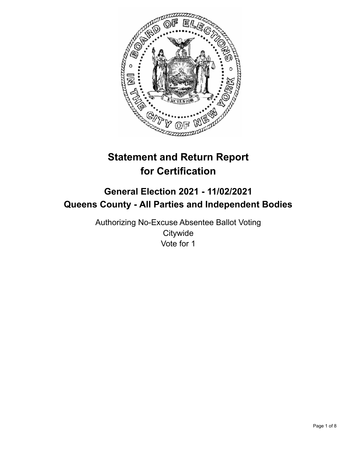

# **Statement and Return Report for Certification**

## **General Election 2021 - 11/02/2021 Queens County - All Parties and Independent Bodies**

Authorizing No-Excuse Absentee Ballot Voting **Citywide** Vote for 1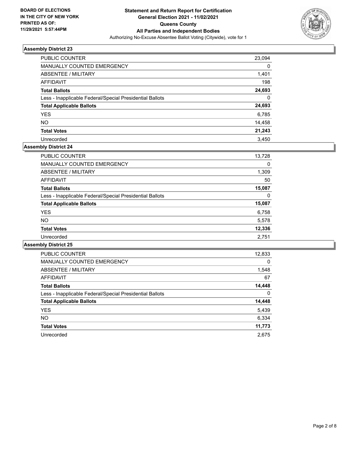

| PUBLIC COUNTER                                           | 23,094 |
|----------------------------------------------------------|--------|
| <b>MANUALLY COUNTED EMERGENCY</b>                        | 0      |
| ABSENTEE / MILITARY                                      | 1,401  |
| AFFIDAVIT                                                | 198    |
| <b>Total Ballots</b>                                     | 24,693 |
| Less - Inapplicable Federal/Special Presidential Ballots | 0      |
| <b>Total Applicable Ballots</b>                          | 24,693 |
| <b>YES</b>                                               | 6,785  |
| <b>NO</b>                                                | 14,458 |
| <b>Total Votes</b>                                       | 21,243 |
| Unrecorded                                               | 3.450  |

## **Assembly District 24**

| <b>PUBLIC COUNTER</b>                                    | 13,728 |
|----------------------------------------------------------|--------|
| <b>MANUALLY COUNTED EMERGENCY</b>                        | 0      |
| ABSENTEE / MILITARY                                      | 1,309  |
| AFFIDAVIT                                                | 50     |
| <b>Total Ballots</b>                                     | 15,087 |
| Less - Inapplicable Federal/Special Presidential Ballots | 0      |
| <b>Total Applicable Ballots</b>                          | 15,087 |
| <b>YES</b>                                               | 6,758  |
| <b>NO</b>                                                | 5,578  |
| <b>Total Votes</b>                                       | 12,336 |
| Unrecorded                                               | 2,751  |

| <b>PUBLIC COUNTER</b>                                    | 12,833 |
|----------------------------------------------------------|--------|
| <b>MANUALLY COUNTED EMERGENCY</b>                        | 0      |
| ABSENTEE / MILITARY                                      | 1,548  |
| <b>AFFIDAVIT</b>                                         | 67     |
| <b>Total Ballots</b>                                     | 14,448 |
| Less - Inapplicable Federal/Special Presidential Ballots | 0      |
| <b>Total Applicable Ballots</b>                          | 14,448 |
| <b>YES</b>                                               | 5,439  |
| NO.                                                      | 6,334  |
| <b>Total Votes</b>                                       | 11,773 |
| Unrecorded                                               | 2.675  |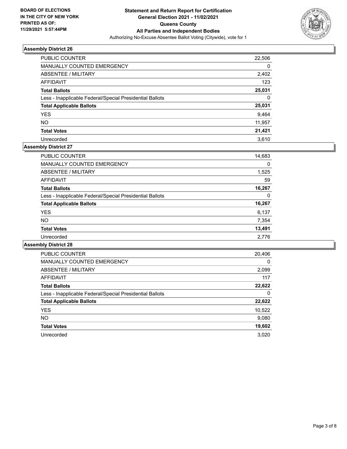

| PUBLIC COUNTER                                           | 22,506 |
|----------------------------------------------------------|--------|
| <b>MANUALLY COUNTED EMERGENCY</b>                        | 0      |
| ABSENTEE / MILITARY                                      | 2,402  |
| AFFIDAVIT                                                | 123    |
| <b>Total Ballots</b>                                     | 25,031 |
| Less - Inapplicable Federal/Special Presidential Ballots | 0      |
| <b>Total Applicable Ballots</b>                          | 25,031 |
| <b>YES</b>                                               | 9,464  |
| <b>NO</b>                                                | 11,957 |
| <b>Total Votes</b>                                       | 21,421 |
| Unrecorded                                               | 3.610  |

## **Assembly District 27**

| <b>PUBLIC COUNTER</b>                                    | 14,683 |
|----------------------------------------------------------|--------|
| <b>MANUALLY COUNTED EMERGENCY</b>                        | 0      |
| ABSENTEE / MILITARY                                      | 1,525  |
| <b>AFFIDAVIT</b>                                         | 59     |
| <b>Total Ballots</b>                                     | 16,267 |
| Less - Inapplicable Federal/Special Presidential Ballots | 0      |
| <b>Total Applicable Ballots</b>                          | 16,267 |
| <b>YES</b>                                               | 6,137  |
| <b>NO</b>                                                | 7,354  |
| <b>Total Votes</b>                                       | 13,491 |
| Unrecorded                                               | 2.776  |

| <b>PUBLIC COUNTER</b>                                    | 20,406   |
|----------------------------------------------------------|----------|
| <b>MANUALLY COUNTED EMERGENCY</b>                        | $\Omega$ |
| ABSENTEE / MILITARY                                      | 2,099    |
| <b>AFFIDAVIT</b>                                         | 117      |
| <b>Total Ballots</b>                                     | 22,622   |
| Less - Inapplicable Federal/Special Presidential Ballots | 0        |
| <b>Total Applicable Ballots</b>                          | 22,622   |
| <b>YES</b>                                               | 10,522   |
| NO.                                                      | 9,080    |
| <b>Total Votes</b>                                       | 19,602   |
| Unrecorded                                               | 3.020    |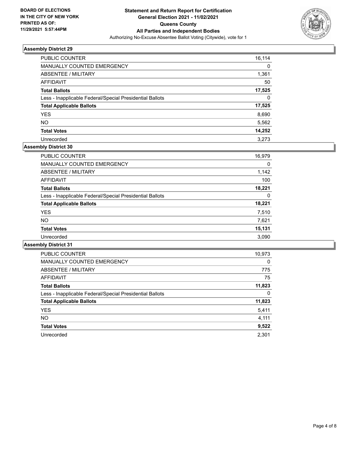

| PUBLIC COUNTER                                           | 16,114 |
|----------------------------------------------------------|--------|
| <b>MANUALLY COUNTED EMERGENCY</b>                        | 0      |
| ABSENTEE / MILITARY                                      | 1,361  |
| AFFIDAVIT                                                | 50     |
| <b>Total Ballots</b>                                     | 17,525 |
| Less - Inapplicable Federal/Special Presidential Ballots | 0      |
| <b>Total Applicable Ballots</b>                          | 17,525 |
| <b>YES</b>                                               | 8,690  |
| <b>NO</b>                                                | 5,562  |
| <b>Total Votes</b>                                       | 14,252 |
| Unrecorded                                               | 3.273  |

## **Assembly District 30**

| <b>PUBLIC COUNTER</b>                                    | 16,979 |
|----------------------------------------------------------|--------|
| <b>MANUALLY COUNTED EMERGENCY</b>                        | 0      |
| ABSENTEE / MILITARY                                      | 1,142  |
| AFFIDAVIT                                                | 100    |
| <b>Total Ballots</b>                                     | 18,221 |
| Less - Inapplicable Federal/Special Presidential Ballots | 0      |
| <b>Total Applicable Ballots</b>                          | 18,221 |
| <b>YES</b>                                               | 7,510  |
| <b>NO</b>                                                | 7,621  |
| <b>Total Votes</b>                                       | 15,131 |
| Unrecorded                                               | 3,090  |

| <b>PUBLIC COUNTER</b>                                    | 10,973   |
|----------------------------------------------------------|----------|
| MANUALLY COUNTED EMERGENCY                               | $\Omega$ |
| ABSENTEE / MILITARY                                      | 775      |
| <b>AFFIDAVIT</b>                                         | 75       |
| <b>Total Ballots</b>                                     | 11,823   |
| Less - Inapplicable Federal/Special Presidential Ballots | 0        |
| <b>Total Applicable Ballots</b>                          | 11,823   |
| <b>YES</b>                                               | 5,411    |
| <b>NO</b>                                                | 4,111    |
| <b>Total Votes</b>                                       | 9,522    |
| Unrecorded                                               | 2.301    |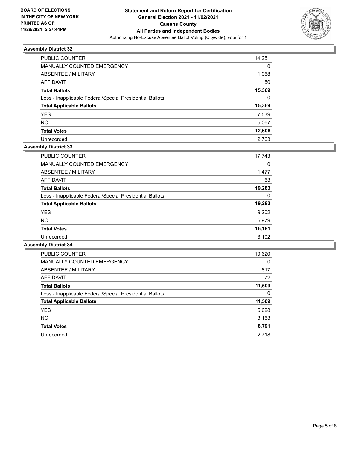

| PUBLIC COUNTER                                           | 14,251 |
|----------------------------------------------------------|--------|
| <b>MANUALLY COUNTED EMERGENCY</b>                        | 0      |
| ABSENTEE / MILITARY                                      | 1,068  |
| AFFIDAVIT                                                | 50     |
| <b>Total Ballots</b>                                     | 15,369 |
| Less - Inapplicable Federal/Special Presidential Ballots | 0      |
| <b>Total Applicable Ballots</b>                          | 15,369 |
| <b>YES</b>                                               | 7,539  |
| <b>NO</b>                                                | 5,067  |
| <b>Total Votes</b>                                       | 12,606 |
| Unrecorded                                               | 2.763  |

## **Assembly District 33**

| <b>PUBLIC COUNTER</b>                                    | 17,743 |
|----------------------------------------------------------|--------|
| <b>MANUALLY COUNTED EMERGENCY</b>                        | 0      |
| ABSENTEE / MILITARY                                      | 1,477  |
| AFFIDAVIT                                                | 63     |
| <b>Total Ballots</b>                                     | 19,283 |
| Less - Inapplicable Federal/Special Presidential Ballots | 0      |
| <b>Total Applicable Ballots</b>                          | 19,283 |
| <b>YES</b>                                               | 9,202  |
| <b>NO</b>                                                | 6,979  |
| <b>Total Votes</b>                                       | 16,181 |
| Unrecorded                                               | 3,102  |
|                                                          |        |

| <b>PUBLIC COUNTER</b>                                    | 10,620 |
|----------------------------------------------------------|--------|
| <b>MANUALLY COUNTED EMERGENCY</b>                        | 0      |
| ABSENTEE / MILITARY                                      | 817    |
| <b>AFFIDAVIT</b>                                         | 72     |
| <b>Total Ballots</b>                                     | 11,509 |
| Less - Inapplicable Federal/Special Presidential Ballots | 0      |
| <b>Total Applicable Ballots</b>                          | 11,509 |
| <b>YES</b>                                               | 5,628  |
| NO.                                                      | 3,163  |
| <b>Total Votes</b>                                       | 8,791  |
| Unrecorded                                               | 2.718  |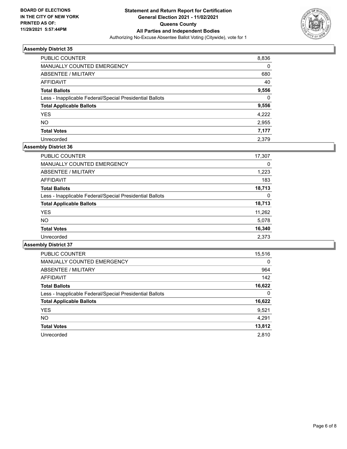

| PUBLIC COUNTER                                           | 8,836    |
|----------------------------------------------------------|----------|
| <b>MANUALLY COUNTED EMERGENCY</b>                        | 0        |
| ABSENTEE / MILITARY                                      | 680      |
| AFFIDAVIT                                                | 40       |
| <b>Total Ballots</b>                                     | 9,556    |
| Less - Inapplicable Federal/Special Presidential Ballots | $\Omega$ |
| <b>Total Applicable Ballots</b>                          | 9,556    |
| <b>YES</b>                                               | 4,222    |
| <b>NO</b>                                                | 2,955    |
| <b>Total Votes</b>                                       | 7,177    |
| Unrecorded                                               | 2.379    |

#### **Assembly District 36**

| <b>PUBLIC COUNTER</b>                                    | 17,307 |
|----------------------------------------------------------|--------|
| <b>MANUALLY COUNTED EMERGENCY</b>                        | 0      |
| ABSENTEE / MILITARY                                      | 1,223  |
| AFFIDAVIT                                                | 183    |
| <b>Total Ballots</b>                                     | 18.713 |
| Less - Inapplicable Federal/Special Presidential Ballots | 0      |
| <b>Total Applicable Ballots</b>                          | 18,713 |
| <b>YES</b>                                               | 11,262 |
| NO.                                                      | 5,078  |
| <b>Total Votes</b>                                       | 16,340 |
| Unrecorded                                               | 2.373  |

| <b>PUBLIC COUNTER</b>                                    | 15,516   |
|----------------------------------------------------------|----------|
| <b>MANUALLY COUNTED EMERGENCY</b>                        | $\Omega$ |
| ABSENTEE / MILITARY                                      | 964      |
| <b>AFFIDAVIT</b>                                         | 142      |
| <b>Total Ballots</b>                                     | 16,622   |
| Less - Inapplicable Federal/Special Presidential Ballots | 0        |
| <b>Total Applicable Ballots</b>                          | 16,622   |
| <b>YES</b>                                               | 9,521    |
| NO.                                                      | 4,291    |
| <b>Total Votes</b>                                       | 13,812   |
| Unrecorded                                               | 2,810    |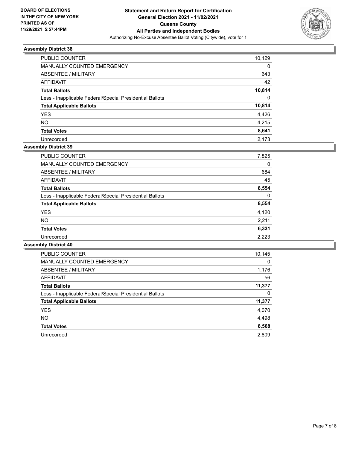

| PUBLIC COUNTER                                           | 10,129   |
|----------------------------------------------------------|----------|
| MANUALLY COUNTED EMERGENCY                               | $\Omega$ |
| ABSENTEE / MILITARY                                      | 643      |
| AFFIDAVIT                                                | 42       |
| <b>Total Ballots</b>                                     | 10,814   |
| Less - Inapplicable Federal/Special Presidential Ballots | $\Omega$ |
| <b>Total Applicable Ballots</b>                          | 10,814   |
| <b>YES</b>                                               | 4,426    |
| <b>NO</b>                                                | 4,215    |
| <b>Total Votes</b>                                       | 8,641    |
| Unrecorded                                               | 2.173    |

## **Assembly District 39**

| PUBLIC COUNTER                                           | 7,825    |
|----------------------------------------------------------|----------|
| MANUALLY COUNTED EMERGENCY                               | 0        |
| ABSENTEE / MILITARY                                      | 684      |
| AFFIDAVIT                                                | 45       |
| <b>Total Ballots</b>                                     | 8,554    |
| Less - Inapplicable Federal/Special Presidential Ballots | $\Omega$ |
| <b>Total Applicable Ballots</b>                          | 8,554    |
| <b>YES</b>                                               | 4,120    |
| <b>NO</b>                                                | 2,211    |
| <b>Total Votes</b>                                       | 6,331    |
| Unrecorded                                               | 2,223    |

| <b>PUBLIC COUNTER</b>                                    | 10,145 |
|----------------------------------------------------------|--------|
| <b>MANUALLY COUNTED EMERGENCY</b>                        | 0      |
| ABSENTEE / MILITARY                                      | 1,176  |
| <b>AFFIDAVIT</b>                                         | 56     |
| <b>Total Ballots</b>                                     | 11,377 |
| Less - Inapplicable Federal/Special Presidential Ballots | 0      |
| <b>Total Applicable Ballots</b>                          | 11,377 |
| <b>YES</b>                                               | 4,070  |
| <b>NO</b>                                                | 4,498  |
| <b>Total Votes</b>                                       | 8,568  |
| Unrecorded                                               | 2.809  |